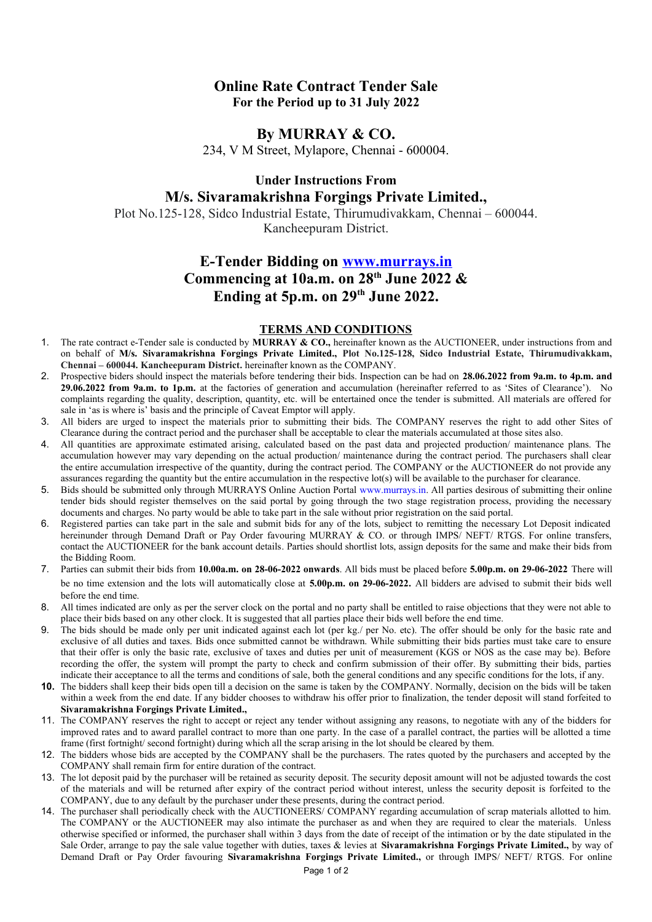## **Online Rate Contract Tender Sale For the Period up to 31 July 2022**

#### **By MURRAY & CO.**

234, V M Street, Mylapore, Chennai - 600004.

## **Under Instructions From M/s. Sivaramakrishna Forgings Private Limited.,**

Plot No.125-128, Sidco Industrial Estate, Thirumudivakkam, Chennai – 600044. Kancheepuram District.

# **E-Tender Bidding on [www.murrays.in](http://www.murrays.in/) Commencing at 10a.m. on 28th June 2022 & Ending at 5p.m. on 29th June 2022.**

#### **TERMS AND CONDITIONS**

- 1. The rate contract e-Tender sale is conducted by **MURRAY & CO.,** hereinafter known as the AUCTIONEER, under instructions from and on behalf of **M/s. Sivaramakrishna Forgings Private Limited., Plot No.125-128, Sidco Industrial Estate, Thirumudivakkam, Chennai – 600044. Kancheepuram District.** hereinafter known as the COMPANY.
- 2. Prospective biders should inspect the materials before tendering their bids. Inspection can be had on **28.06.2022 from 9a.m. to 4p.m. and 29.06.2022 from 9a.m. to 1p.m.** at the factories of generation and accumulation (hereinafter referred to as 'Sites of Clearance'). No complaints regarding the quality, description, quantity, etc. will be entertained once the tender is submitted. All materials are offered for sale in 'as is where is' basis and the principle of Caveat Emptor will apply.
- 3. All biders are urged to inspect the materials prior to submitting their bids. The COMPANY reserves the right to add other Sites of Clearance during the contract period and the purchaser shall be acceptable to clear the materials accumulated at those sites also.
- 4. All quantities are approximate estimated arising, calculated based on the past data and projected production/ maintenance plans. The accumulation however may vary depending on the actual production/ maintenance during the contract period. The purchasers shall clear the entire accumulation irrespective of the quantity, during the contract period. The COMPANY or the AUCTIONEER do not provide any assurances regarding the quantity but the entire accumulation in the respective lot(s) will be available to the purchaser for clearance.
- 5. Bids should be submitted only through MURRAYS Online Auction Portal [www.murrays.in](http://www.murrays.in/). All parties desirous of submitting their online tender bids should register themselves on the said portal by going through the two stage registration process, providing the necessary documents and charges. No party would be able to take part in the sale without prior registration on the said portal.
- 6. Registered parties can take part in the sale and submit bids for any of the lots, subject to remitting the necessary Lot Deposit indicated hereinunder through Demand Draft or Pay Order favouring MURRAY & CO. or through IMPS/NEFT/RTGS. For online transfers, contact the AUCTIONEER for the bank account details. Parties should shortlist lots, assign deposits for the same and make their bids from the Bidding Room.
- 7. Parties can submit their bids from **10.00a.m. on 28-06-2022 onwards**. All bids must be placed before **5.00p.m. on 29-06-2022** There will be no time extension and the lots will automatically close at **5.00p.m. on 29-06-2022.** All bidders are advised to submit their bids well before the end time.
- 8. All times indicated are only as per the server clock on the portal and no party shall be entitled to raise objections that they were not able to place their bids based on any other clock. It is suggested that all parties place their bids well before the end time.
- The bids should be made only per unit indicated against each lot (per kg./ per No. etc). The offer should be only for the basic rate and exclusive of all duties and taxes. Bids once submitted cannot be withdrawn. While submitting their bids parties must take care to ensure that their offer is only the basic rate, exclusive of taxes and duties per unit of measurement (KGS or NOS as the case may be). Before recording the offer, the system will prompt the party to check and confirm submission of their offer. By submitting their bids, parties indicate their acceptance to all the terms and conditions of sale, both the general conditions and any specific conditions for the lots, if any.
- **10.** The bidders shall keep their bids open till a decision on the same is taken by the COMPANY. Normally, decision on the bids will be taken within a week from the end date. If any bidder chooses to withdraw his offer prior to finalization, the tender deposit will stand forfeited to **Sivaramakrishna Forgings Private Limited.,**
- 11. The COMPANY reserves the right to accept or reject any tender without assigning any reasons, to negotiate with any of the bidders for improved rates and to award parallel contract to more than one party. In the case of a parallel contract, the parties will be allotted a time frame (first fortnight/ second fortnight) during which all the scrap arising in the lot should be cleared by them.
- 12. The bidders whose bids are accepted by the COMPANY shall be the purchasers. The rates quoted by the purchasers and accepted by the COMPANY shall remain firm for entire duration of the contract.
- 13. The lot deposit paid by the purchaser will be retained as security deposit. The security deposit amount will not be adjusted towards the cost of the materials and will be returned after expiry of the contract period without interest, unless the security deposit is forfeited to the COMPANY, due to any default by the purchaser under these presents, during the contract period.
- 14. The purchaser shall periodically check with the AUCTIONEERS/ COMPANY regarding accumulation of scrap materials allotted to him. The COMPANY or the AUCTIONEER may also intimate the purchaser as and when they are required to clear the materials. Unless otherwise specified or informed, the purchaser shall within 3 days from the date of receipt of the intimation or by the date stipulated in the Sale Order, arrange to pay the sale value together with duties, taxes & levies at **Sivaramakrishna Forgings Private Limited.,** by way of Demand Draft or Pay Order favouring **Sivaramakrishna Forgings Private Limited.,** or through IMPS/ NEFT/ RTGS. For online